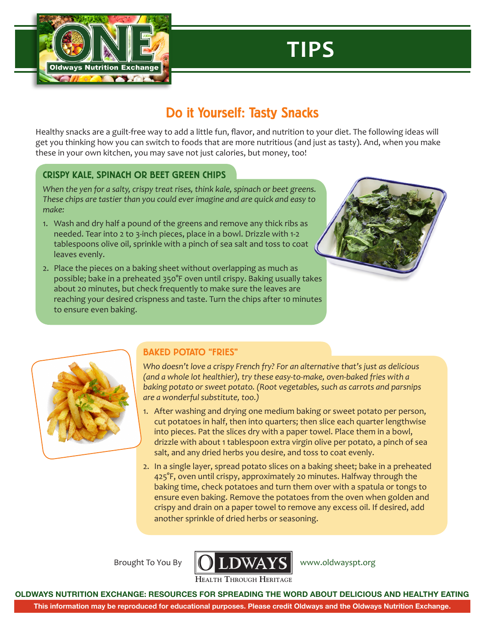

# **TIPS**

## Do it Yourself: Tasty Snacks

Healthy snacks are a guilt-free way to add a little fun, flavor, and nutrition to your diet. The following ideas will get you thinking how you can switch to foods that are more nutritious (and just as tasty). And, when you make these in your own kitchen, you may save not just calories, but money, too!

### CRISPY KALE, SPINACH OR BEET GREEN CHIPS

*When the yen for a salty, crispy treat rises, think kale, spinach or beet greens. These chips are tastier than you could ever imagine and are quick and easy to make:*

- 1. Wash and dry half a pound of the greens and remove any thick ribs as needed. Tear into 2 to 3-inch pieces, place in a bowl. Drizzle with 1-2 tablespoons olive oil, sprinkle with a pinch of sea salt and toss to coat leaves evenly.
- 2. Place the pieces on a baking sheet without overlapping as much as possible; bake in a preheated 350°F oven until crispy. Baking usually takes about 20 minutes, but check frequently to make sure the leaves are reaching your desired crispness and taste. Turn the chips after 10 minutes to ensure even baking.





### BAKED POTATO "FRIES"

*Who doesn't love a crispy French fry? For an alternative that's just as delicious (and a whole lot healthier), try these easy-to-make, oven-baked fries with a baking potato or sweet potato. (Root vegetables, such as carrots and parsnips are a wonderful substitute, too.)*

- 1. After washing and drying one medium baking or sweet potato per person, cut potatoes in half, then into quarters; then slice each quarter lengthwise into pieces. Pat the slices dry with a paper towel. Place them in a bowl, drizzle with about 1 tablespoon extra virgin olive per potato, a pinch of sea salt, and any dried herbs you desire, and toss to coat evenly.
- 2. In a single layer, spread potato slices on a baking sheet; bake in a preheated 425°F, oven until crispy, approximately 20 minutes. Halfway through the baking time, check potatoes and turn them over with a spatula or tongs to ensure even baking. Remove the potatoes from the oven when golden and crispy and drain on a paper towel to remove any excess oil. If desired, add another sprinkle of dried herbs or seasoning.

Brought To You By



[www.oldwayspt.org](http://www.oldwayspt.org)

**OLDWAYS NUTRITION EXCHANGE: RESOURCES FOR SPREADING THE WORD ABOUT DELICIOUS AND HEALTHY EATING**

**This information may be reproduced for educational purposes. Please credit Oldways and the Oldways Nutrition Exchange.**